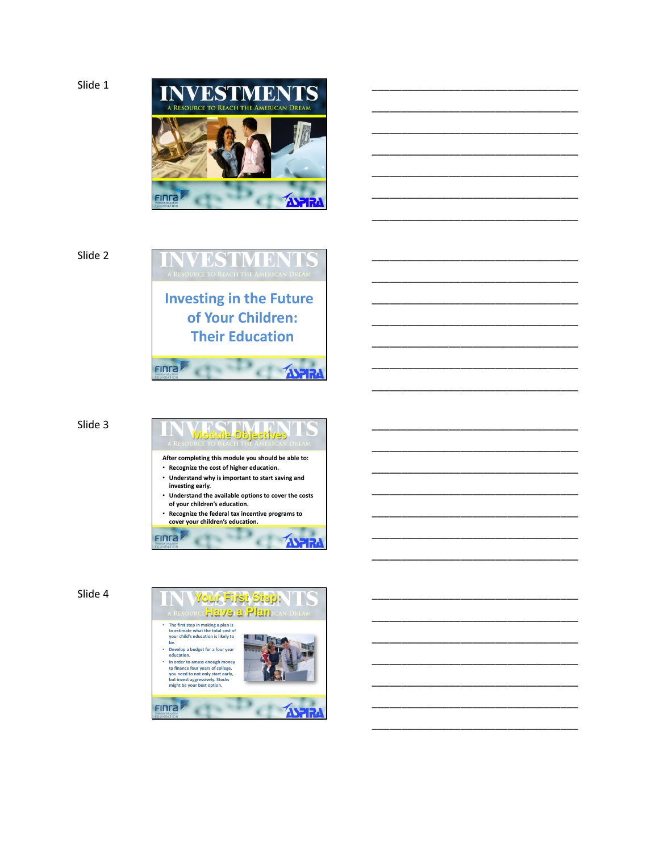

\_\_\_\_\_\_\_\_\_\_\_\_\_\_\_\_\_\_\_\_\_\_\_\_\_\_\_\_\_\_\_\_\_\_\_

\_\_\_\_\_\_\_\_\_\_\_\_\_\_\_\_\_\_\_\_\_\_\_\_\_\_\_\_\_\_\_\_\_\_\_

\_\_\_\_\_\_\_\_\_\_\_\_\_\_\_\_\_\_\_\_\_\_\_\_\_\_\_\_\_\_\_\_\_\_\_

\_\_\_\_\_\_\_\_\_\_\_\_\_\_\_\_\_\_\_\_\_\_\_\_\_\_\_\_\_\_\_\_\_\_\_

\_\_\_\_\_\_\_\_\_\_\_\_\_\_\_\_\_\_\_\_\_\_\_\_\_\_\_\_\_\_\_\_\_\_\_

\_\_\_\_\_\_\_\_\_\_\_\_\_\_\_\_\_\_\_\_\_\_\_\_\_\_\_\_\_\_\_\_\_\_\_

\_\_\_\_\_\_\_\_\_\_\_\_\_\_\_\_\_\_\_\_\_\_\_\_\_\_\_\_\_\_\_\_\_\_\_

\_\_\_\_\_\_\_\_\_\_\_\_\_\_\_\_\_\_\_\_\_\_\_\_\_\_\_\_\_\_\_\_\_\_\_

\_\_\_\_\_\_\_\_\_\_\_\_\_\_\_\_\_\_\_\_\_\_\_\_\_\_\_\_\_\_\_\_\_\_\_

\_\_\_\_\_\_\_\_\_\_\_\_\_\_\_\_\_\_\_\_\_\_\_\_\_\_\_\_\_\_\_\_\_\_\_

\_\_\_\_\_\_\_\_\_\_\_\_\_\_\_\_\_\_\_\_\_\_\_\_\_\_\_\_\_\_\_\_\_\_\_

\_\_\_\_\_\_\_\_\_\_\_\_\_\_\_\_\_\_\_\_\_\_\_\_\_\_\_\_\_\_\_\_\_\_\_

\_\_\_\_\_\_\_\_\_\_\_\_\_\_\_\_\_\_\_\_\_\_\_\_\_\_\_\_\_\_\_\_\_\_\_

\_\_\_\_\_\_\_\_\_\_\_\_\_\_\_\_\_\_\_\_\_\_\_\_\_\_\_\_\_\_\_\_\_\_\_

\_\_\_\_\_\_\_\_\_\_\_\_\_\_\_\_\_\_\_\_\_\_\_\_\_\_\_\_\_\_\_\_\_\_\_

\_\_\_\_\_\_\_\_\_\_\_\_\_\_\_\_\_\_\_\_\_\_\_\_\_\_\_\_\_\_\_\_\_\_\_

\_\_\_\_\_\_\_\_\_\_\_\_\_\_\_\_\_\_\_\_\_\_\_\_\_\_\_\_\_\_\_\_\_\_\_

\_\_\_\_\_\_\_\_\_\_\_\_\_\_\_\_\_\_\_\_\_\_\_\_\_\_\_\_\_\_\_\_\_\_\_

\_\_\_\_\_\_\_\_\_\_\_\_\_\_\_\_\_\_\_\_\_\_\_\_\_\_\_\_\_\_\_\_\_\_\_

\_\_\_\_\_\_\_\_\_\_\_\_\_\_\_\_\_\_\_\_\_\_\_\_\_\_\_\_\_\_\_\_\_\_\_

\_\_\_\_\_\_\_\_\_\_\_\_\_\_\_\_\_\_\_\_\_\_\_\_\_\_\_\_\_\_\_\_\_\_\_

\_\_\_\_\_\_\_\_\_\_\_\_\_\_\_\_\_\_\_\_\_\_\_\_\_\_\_\_\_\_\_\_\_\_\_

\_\_\_\_\_\_\_\_\_\_\_\_\_\_\_\_\_\_\_\_\_\_\_\_\_\_\_\_\_\_\_\_\_\_\_

\_\_\_\_\_\_\_\_\_\_\_\_\_\_\_\_\_\_\_\_\_\_\_\_\_\_\_\_\_\_\_\_\_\_\_

\_\_\_\_\_\_\_\_\_\_\_\_\_\_\_\_\_\_\_\_\_\_\_\_\_\_\_\_\_\_\_\_\_\_\_

\_\_\_\_\_\_\_\_\_\_\_\_\_\_\_\_\_\_\_\_\_\_\_\_\_\_\_\_\_\_\_\_\_\_\_

Slide 2



**Investing in the Future of Your Children: Their Education**

Finra

FINTA

¥

Slide 3

- **Module Objectives After completing this module you should be able to:** • **Recognize the cost of higher education.**
- **Understand why is important to start saving and investing early.**
- **Understand the available options to cover the costs of your children's education.** • **Recognize the federal tax incentive programs to**

٠

**ASPH** 

**cover your children's education.** m

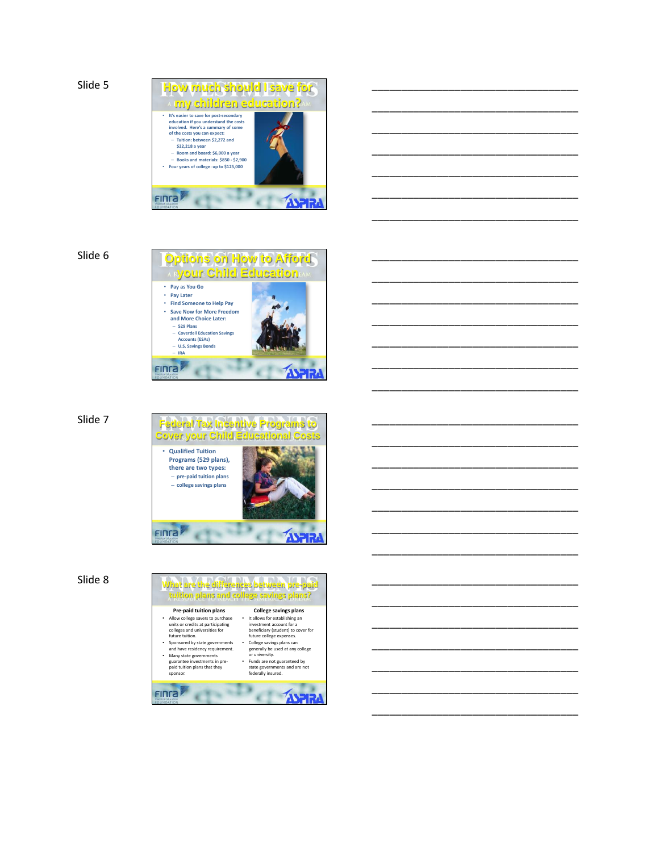Slide 5



\_\_\_\_\_\_\_\_\_\_\_\_\_\_\_\_\_\_\_\_\_\_\_\_\_\_\_\_\_\_\_\_\_\_\_

\_\_\_\_\_\_\_\_\_\_\_\_\_\_\_\_\_\_\_\_\_\_\_\_\_\_\_\_\_\_\_\_\_\_\_

\_\_\_\_\_\_\_\_\_\_\_\_\_\_\_\_\_\_\_\_\_\_\_\_\_\_\_\_\_\_\_\_\_\_\_

\_\_\_\_\_\_\_\_\_\_\_\_\_\_\_\_\_\_\_\_\_\_\_\_\_\_\_\_\_\_\_\_\_\_\_

\_\_\_\_\_\_\_\_\_\_\_\_\_\_\_\_\_\_\_\_\_\_\_\_\_\_\_\_\_\_\_\_\_\_\_

\_\_\_\_\_\_\_\_\_\_\_\_\_\_\_\_\_\_\_\_\_\_\_\_\_\_\_\_\_\_\_\_\_\_\_

\_\_\_\_\_\_\_\_\_\_\_\_\_\_\_\_\_\_\_\_\_\_\_\_\_\_\_\_\_\_\_\_\_\_\_

\_\_\_\_\_\_\_\_\_\_\_\_\_\_\_\_\_\_\_\_\_\_\_\_\_\_\_\_\_\_\_\_\_\_\_

\_\_\_\_\_\_\_\_\_\_\_\_\_\_\_\_\_\_\_\_\_\_\_\_\_\_\_\_\_\_\_\_\_\_\_

\_\_\_\_\_\_\_\_\_\_\_\_\_\_\_\_\_\_\_\_\_\_\_\_\_\_\_\_\_\_\_\_\_\_\_

\_\_\_\_\_\_\_\_\_\_\_\_\_\_\_\_\_\_\_\_\_\_\_\_\_\_\_\_\_\_\_\_\_\_\_

\_\_\_\_\_\_\_\_\_\_\_\_\_\_\_\_\_\_\_\_\_\_\_\_\_\_\_\_\_\_\_\_\_\_\_

\_\_\_\_\_\_\_\_\_\_\_\_\_\_\_\_\_\_\_\_\_\_\_\_\_\_\_\_\_\_\_\_\_\_\_

\_\_\_\_\_\_\_\_\_\_\_\_\_\_\_\_\_\_\_\_\_\_\_\_\_\_\_\_\_\_\_\_\_\_\_

\_\_\_\_\_\_\_\_\_\_\_\_\_\_\_\_\_\_\_\_\_\_\_\_\_\_\_\_\_\_\_\_\_\_\_

\_\_\_\_\_\_\_\_\_\_\_\_\_\_\_\_\_\_\_\_\_\_\_\_\_\_\_\_\_\_\_\_\_\_\_

\_\_\_\_\_\_\_\_\_\_\_\_\_\_\_\_\_\_\_\_\_\_\_\_\_\_\_\_\_\_\_\_\_\_\_

\_\_\_\_\_\_\_\_\_\_\_\_\_\_\_\_\_\_\_\_\_\_\_\_\_\_\_\_\_\_\_\_\_\_\_

\_\_\_\_\_\_\_\_\_\_\_\_\_\_\_\_\_\_\_\_\_\_\_\_\_\_\_\_\_\_\_\_\_\_\_

\_\_\_\_\_\_\_\_\_\_\_\_\_\_\_\_\_\_\_\_\_\_\_\_\_\_\_\_\_\_\_\_\_\_\_

\_\_\_\_\_\_\_\_\_\_\_\_\_\_\_\_\_\_\_\_\_\_\_\_\_\_\_\_\_\_\_\_\_\_\_

\_\_\_\_\_\_\_\_\_\_\_\_\_\_\_\_\_\_\_\_\_\_\_\_\_\_\_\_\_\_\_\_\_\_\_

\_\_\_\_\_\_\_\_\_\_\_\_\_\_\_\_\_\_\_\_\_\_\_\_\_\_\_\_\_\_\_\_\_\_\_

\_\_\_\_\_\_\_\_\_\_\_\_\_\_\_\_\_\_\_\_\_\_\_\_\_\_\_\_\_\_\_\_\_\_\_

\_\_\_\_\_\_\_\_\_\_\_\_\_\_\_\_\_\_\_\_\_\_\_\_\_\_\_\_\_\_\_\_\_\_\_

\_\_\_\_\_\_\_\_\_\_\_\_\_\_\_\_\_\_\_\_\_\_\_\_\_\_\_\_\_\_\_\_\_\_\_

\_\_\_\_\_\_\_\_\_\_\_\_\_\_\_\_\_\_\_\_\_\_\_\_\_\_\_\_\_\_\_\_\_\_\_

\_\_\_\_\_\_\_\_\_\_\_\_\_\_\_\_\_\_\_\_\_\_\_\_\_\_\_\_\_\_\_\_\_\_\_

Slide 6







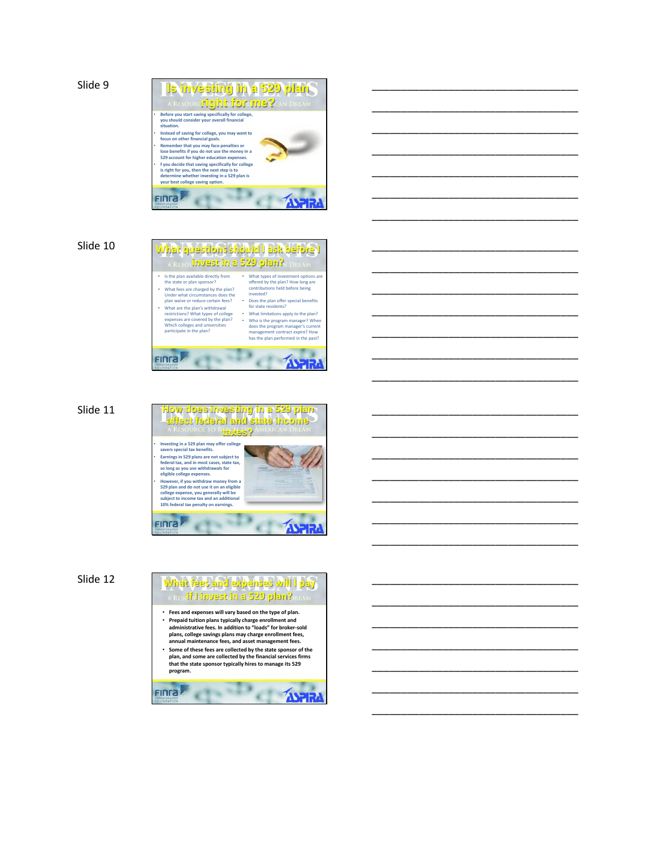

\_\_\_\_\_\_\_\_\_\_\_\_\_\_\_\_\_\_\_\_\_\_\_\_\_\_\_\_\_\_\_\_\_\_\_

\_\_\_\_\_\_\_\_\_\_\_\_\_\_\_\_\_\_\_\_\_\_\_\_\_\_\_\_\_\_\_\_\_\_\_

**program.**

Finra

 $d \cdot D$ 

**EXAMPLE**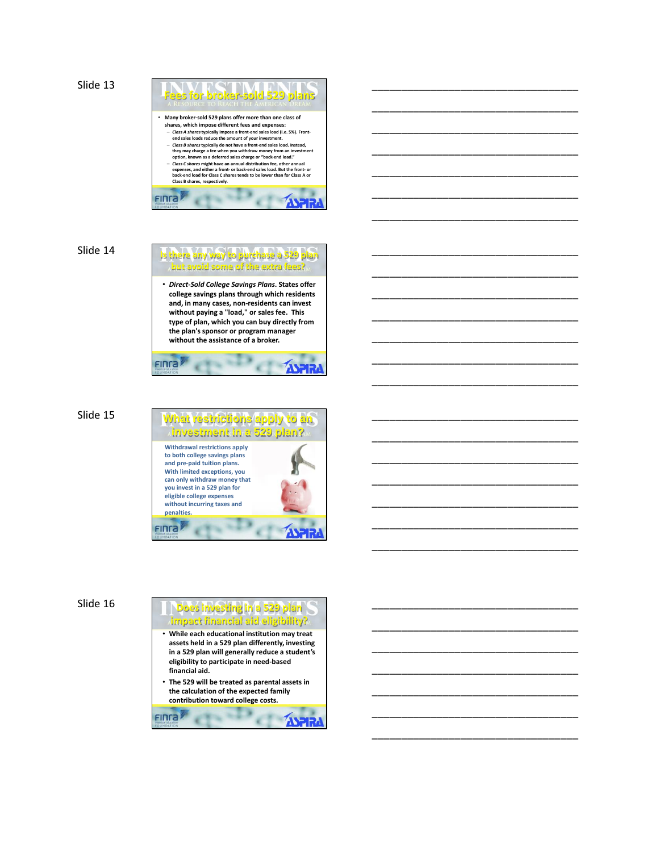```
Slide 13
```


\_\_\_\_\_\_\_\_\_\_\_\_\_\_\_\_\_\_\_\_\_\_\_\_\_\_\_\_\_\_\_\_\_\_\_

\_\_\_\_\_\_\_\_\_\_\_\_\_\_\_\_\_\_\_\_\_\_\_\_\_\_\_\_\_\_\_\_\_\_\_

\_\_\_\_\_\_\_\_\_\_\_\_\_\_\_\_\_\_\_\_\_\_\_\_\_\_\_\_\_\_\_\_\_\_\_

\_\_\_\_\_\_\_\_\_\_\_\_\_\_\_\_\_\_\_\_\_\_\_\_\_\_\_\_\_\_\_\_\_\_\_

\_\_\_\_\_\_\_\_\_\_\_\_\_\_\_\_\_\_\_\_\_\_\_\_\_\_\_\_\_\_\_\_\_\_\_

\_\_\_\_\_\_\_\_\_\_\_\_\_\_\_\_\_\_\_\_\_\_\_\_\_\_\_\_\_\_\_\_\_\_\_

\_\_\_\_\_\_\_\_\_\_\_\_\_\_\_\_\_\_\_\_\_\_\_\_\_\_\_\_\_\_\_\_\_\_\_

\_\_\_\_\_\_\_\_\_\_\_\_\_\_\_\_\_\_\_\_\_\_\_\_\_\_\_\_\_\_\_\_\_\_\_

\_\_\_\_\_\_\_\_\_\_\_\_\_\_\_\_\_\_\_\_\_\_\_\_\_\_\_\_\_\_\_\_\_\_\_

\_\_\_\_\_\_\_\_\_\_\_\_\_\_\_\_\_\_\_\_\_\_\_\_\_\_\_\_\_\_\_\_\_\_\_

\_\_\_\_\_\_\_\_\_\_\_\_\_\_\_\_\_\_\_\_\_\_\_\_\_\_\_\_\_\_\_\_\_\_\_

\_\_\_\_\_\_\_\_\_\_\_\_\_\_\_\_\_\_\_\_\_\_\_\_\_\_\_\_\_\_\_\_\_\_\_

\_\_\_\_\_\_\_\_\_\_\_\_\_\_\_\_\_\_\_\_\_\_\_\_\_\_\_\_\_\_\_\_\_\_\_

\_\_\_\_\_\_\_\_\_\_\_\_\_\_\_\_\_\_\_\_\_\_\_\_\_\_\_\_\_\_\_\_\_\_\_

\_\_\_\_\_\_\_\_\_\_\_\_\_\_\_\_\_\_\_\_\_\_\_\_\_\_\_\_\_\_\_\_\_\_\_

\_\_\_\_\_\_\_\_\_\_\_\_\_\_\_\_\_\_\_\_\_\_\_\_\_\_\_\_\_\_\_\_\_\_\_

\_\_\_\_\_\_\_\_\_\_\_\_\_\_\_\_\_\_\_\_\_\_\_\_\_\_\_\_\_\_\_\_\_\_\_

\_\_\_\_\_\_\_\_\_\_\_\_\_\_\_\_\_\_\_\_\_\_\_\_\_\_\_\_\_\_\_\_\_\_\_

\_\_\_\_\_\_\_\_\_\_\_\_\_\_\_\_\_\_\_\_\_\_\_\_\_\_\_\_\_\_\_\_\_\_\_

\_\_\_\_\_\_\_\_\_\_\_\_\_\_\_\_\_\_\_\_\_\_\_\_\_\_\_\_\_\_\_\_\_\_\_

\_\_\_\_\_\_\_\_\_\_\_\_\_\_\_\_\_\_\_\_\_\_\_\_\_\_\_\_\_\_\_\_\_\_\_

\_\_\_\_\_\_\_\_\_\_\_\_\_\_\_\_\_\_\_\_\_\_\_\_\_\_\_\_\_\_\_\_\_\_\_

\_\_\_\_\_\_\_\_\_\_\_\_\_\_\_\_\_\_\_\_\_\_\_\_\_\_\_\_\_\_\_\_\_\_\_

\_\_\_\_\_\_\_\_\_\_\_\_\_\_\_\_\_\_\_\_\_\_\_\_\_\_\_\_\_\_\_\_\_\_\_

\_\_\_\_\_\_\_\_\_\_\_\_\_\_\_\_\_\_\_\_\_\_\_\_\_\_\_\_\_\_\_\_\_\_\_

\_\_\_\_\_\_\_\_\_\_\_\_\_\_\_\_\_\_\_\_\_\_\_\_\_\_\_\_\_\_\_\_\_\_\_

\_\_\_\_\_\_\_\_\_\_\_\_\_\_\_\_\_\_\_\_\_\_\_\_\_\_\_\_\_\_\_\_\_\_\_

#### Slide 14

## **Is there any way to purchase a 529 plan but avoid some of the extra fees?**

• *Direct-Sold College Savings Plans***. States offer college savings plans through which residents and, in many cases, non-residents can invest without paying a "load," or sales fee. This type of plan, which you can buy directly from the plan's sponsor or program manager without the assistance of a broker.**

FIN<sub>ra</sub>

## $S$  *R* **b a**



Slide 16 **Does investing in a 529 plan** 

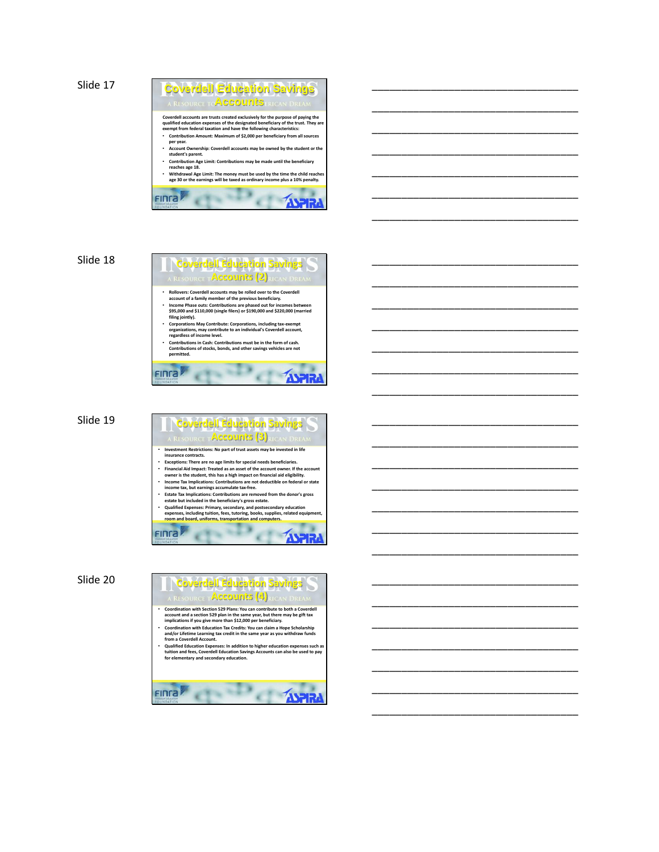```
Slide 17
```


\_\_\_\_\_\_\_\_\_\_\_\_\_\_\_\_\_\_\_\_\_\_\_\_\_\_\_\_\_\_\_\_\_\_\_

\_\_\_\_\_\_\_\_\_\_\_\_\_\_\_\_\_\_\_\_\_\_\_\_\_\_\_\_\_\_\_\_\_\_\_

\_\_\_\_\_\_\_\_\_\_\_\_\_\_\_\_\_\_\_\_\_\_\_\_\_\_\_\_\_\_\_\_\_\_\_

\_\_\_\_\_\_\_\_\_\_\_\_\_\_\_\_\_\_\_\_\_\_\_\_\_\_\_\_\_\_\_\_\_\_\_

\_\_\_\_\_\_\_\_\_\_\_\_\_\_\_\_\_\_\_\_\_\_\_\_\_\_\_\_\_\_\_\_\_\_\_

\_\_\_\_\_\_\_\_\_\_\_\_\_\_\_\_\_\_\_\_\_\_\_\_\_\_\_\_\_\_\_\_\_\_\_

\_\_\_\_\_\_\_\_\_\_\_\_\_\_\_\_\_\_\_\_\_\_\_\_\_\_\_\_\_\_\_\_\_\_\_

\_\_\_\_\_\_\_\_\_\_\_\_\_\_\_\_\_\_\_\_\_\_\_\_\_\_\_\_\_\_\_\_\_\_\_

\_\_\_\_\_\_\_\_\_\_\_\_\_\_\_\_\_\_\_\_\_\_\_\_\_\_\_\_\_\_\_\_\_\_\_

\_\_\_\_\_\_\_\_\_\_\_\_\_\_\_\_\_\_\_\_\_\_\_\_\_\_\_\_\_\_\_\_\_\_\_

\_\_\_\_\_\_\_\_\_\_\_\_\_\_\_\_\_\_\_\_\_\_\_\_\_\_\_\_\_\_\_\_\_\_\_

\_\_\_\_\_\_\_\_\_\_\_\_\_\_\_\_\_\_\_\_\_\_\_\_\_\_\_\_\_\_\_\_\_\_\_

\_\_\_\_\_\_\_\_\_\_\_\_\_\_\_\_\_\_\_\_\_\_\_\_\_\_\_\_\_\_\_\_\_\_\_

\_\_\_\_\_\_\_\_\_\_\_\_\_\_\_\_\_\_\_\_\_\_\_\_\_\_\_\_\_\_\_\_\_\_\_

\_\_\_\_\_\_\_\_\_\_\_\_\_\_\_\_\_\_\_\_\_\_\_\_\_\_\_\_\_\_\_\_\_\_\_

\_\_\_\_\_\_\_\_\_\_\_\_\_\_\_\_\_\_\_\_\_\_\_\_\_\_\_\_\_\_\_\_\_\_\_

\_\_\_\_\_\_\_\_\_\_\_\_\_\_\_\_\_\_\_\_\_\_\_\_\_\_\_\_\_\_\_\_\_\_\_

\_\_\_\_\_\_\_\_\_\_\_\_\_\_\_\_\_\_\_\_\_\_\_\_\_\_\_\_\_\_\_\_\_\_\_

\_\_\_\_\_\_\_\_\_\_\_\_\_\_\_\_\_\_\_\_\_\_\_\_\_\_\_\_\_\_\_\_\_\_\_

\_\_\_\_\_\_\_\_\_\_\_\_\_\_\_\_\_\_\_\_\_\_\_\_\_\_\_\_\_\_\_\_\_\_\_

\_\_\_\_\_\_\_\_\_\_\_\_\_\_\_\_\_\_\_\_\_\_\_\_\_\_\_\_\_\_\_\_\_\_\_

\_\_\_\_\_\_\_\_\_\_\_\_\_\_\_\_\_\_\_\_\_\_\_\_\_\_\_\_\_\_\_\_\_\_\_

\_\_\_\_\_\_\_\_\_\_\_\_\_\_\_\_\_\_\_\_\_\_\_\_\_\_\_\_\_\_\_\_\_\_\_

\_\_\_\_\_\_\_\_\_\_\_\_\_\_\_\_\_\_\_\_\_\_\_\_\_\_\_\_\_\_\_\_\_\_\_

\_\_\_\_\_\_\_\_\_\_\_\_\_\_\_\_\_\_\_\_\_\_\_\_\_\_\_\_\_\_\_\_\_\_\_

\_\_\_\_\_\_\_\_\_\_\_\_\_\_\_\_\_\_\_\_\_\_\_\_\_\_\_\_\_\_\_\_\_\_\_

\_\_\_\_\_\_\_\_\_\_\_\_\_\_\_\_\_\_\_\_\_\_\_\_\_\_\_\_\_\_\_\_\_\_\_

## Slide 18

- **Coverdell Education Savings Accounts (2)**
- **Rollovers: Coverdell accounts may be rolled over to the Coverdell account of a family member of the previous beneficiary. Income Phase outs: Contributions are phased out for incomes between**
- **\$95,000 and \$110,000 (single filers) or \$190,000 and \$220,000 (married filing jointly).**
- **Corporations May Contribute: Corporations, including tax-exempt organizations, may contribute to an individual's Coverdell account, regardless of income level.**
- **Contributions in Cash: Contributions must be in the form of cash. Contributions of stocks, bonds, and other savings vehicles are not permitted.**

d<sup>-D</sup>

Finra

Slide 19

## **Coverdell Education Savings Accounts (3)** • **Investment Restrictions: No part of trust assets may be invested in life insurance contracts.**  • **Exceptions: There are no age limits for special needs beneficiaries.**  • Financial Aid Impact: Treated as an asset of the account owner. If the account<br>owner is the student, this has a high impact on financial aid eligibility.<br>• Income Tax Implications: Contributions are not deductible on fe

 $\Delta H$ 

- 
- **income tax, but earnings accumulate tax-free. Estate Tax Implications: Contributions are removed from the donor's gross**
- **estate but included in the beneficiary's gross estate.**  • Qualified Expenses: Primary, secondary, and postsecondary education<br>expenses, including tuition, fees, tutoring, books, supplies, related equipment,<br>room and board, uniforms, transportation and computers.
- **ASTR FINGA** ×  $\epsilon$

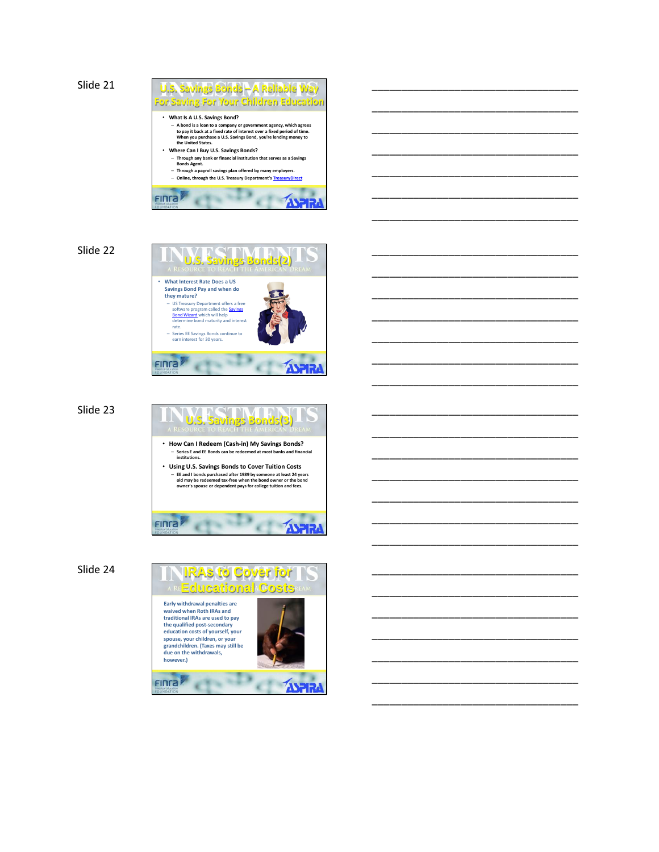

\_\_\_\_\_\_\_\_\_\_\_\_\_\_\_\_\_\_\_\_\_\_\_\_\_\_\_\_\_\_\_\_\_\_\_

\_\_\_\_\_\_\_\_\_\_\_\_\_\_\_\_\_\_\_\_\_\_\_\_\_\_\_\_\_\_\_\_\_\_\_

\_\_\_\_\_\_\_\_\_\_\_\_\_\_\_\_\_\_\_\_\_\_\_\_\_\_\_\_\_\_\_\_\_\_\_

\_\_\_\_\_\_\_\_\_\_\_\_\_\_\_\_\_\_\_\_\_\_\_\_\_\_\_\_\_\_\_\_\_\_\_

\_\_\_\_\_\_\_\_\_\_\_\_\_\_\_\_\_\_\_\_\_\_\_\_\_\_\_\_\_\_\_\_\_\_\_

\_\_\_\_\_\_\_\_\_\_\_\_\_\_\_\_\_\_\_\_\_\_\_\_\_\_\_\_\_\_\_\_\_\_\_

\_\_\_\_\_\_\_\_\_\_\_\_\_\_\_\_\_\_\_\_\_\_\_\_\_\_\_\_\_\_\_\_\_\_\_

\_\_\_\_\_\_\_\_\_\_\_\_\_\_\_\_\_\_\_\_\_\_\_\_\_\_\_\_\_\_\_\_\_\_\_

\_\_\_\_\_\_\_\_\_\_\_\_\_\_\_\_\_\_\_\_\_\_\_\_\_\_\_\_\_\_\_\_\_\_\_

\_\_\_\_\_\_\_\_\_\_\_\_\_\_\_\_\_\_\_\_\_\_\_\_\_\_\_\_\_\_\_\_\_\_\_

\_\_\_\_\_\_\_\_\_\_\_\_\_\_\_\_\_\_\_\_\_\_\_\_\_\_\_\_\_\_\_\_\_\_\_

\_\_\_\_\_\_\_\_\_\_\_\_\_\_\_\_\_\_\_\_\_\_\_\_\_\_\_\_\_\_\_\_\_\_\_

\_\_\_\_\_\_\_\_\_\_\_\_\_\_\_\_\_\_\_\_\_\_\_\_\_\_\_\_\_\_\_\_\_\_\_

\_\_\_\_\_\_\_\_\_\_\_\_\_\_\_\_\_\_\_\_\_\_\_\_\_\_\_\_\_\_\_\_\_\_\_

\_\_\_\_\_\_\_\_\_\_\_\_\_\_\_\_\_\_\_\_\_\_\_\_\_\_\_\_\_\_\_\_\_\_\_

\_\_\_\_\_\_\_\_\_\_\_\_\_\_\_\_\_\_\_\_\_\_\_\_\_\_\_\_\_\_\_\_\_\_\_

\_\_\_\_\_\_\_\_\_\_\_\_\_\_\_\_\_\_\_\_\_\_\_\_\_\_\_\_\_\_\_\_\_\_\_

\_\_\_\_\_\_\_\_\_\_\_\_\_\_\_\_\_\_\_\_\_\_\_\_\_\_\_\_\_\_\_\_\_\_\_

\_\_\_\_\_\_\_\_\_\_\_\_\_\_\_\_\_\_\_\_\_\_\_\_\_\_\_\_\_\_\_\_\_\_\_

\_\_\_\_\_\_\_\_\_\_\_\_\_\_\_\_\_\_\_\_\_\_\_\_\_\_\_\_\_\_\_\_\_\_\_

\_\_\_\_\_\_\_\_\_\_\_\_\_\_\_\_\_\_\_\_\_\_\_\_\_\_\_\_\_\_\_\_\_\_\_

\_\_\_\_\_\_\_\_\_\_\_\_\_\_\_\_\_\_\_\_\_\_\_\_\_\_\_\_\_\_\_\_\_\_\_

\_\_\_\_\_\_\_\_\_\_\_\_\_\_\_\_\_\_\_\_\_\_\_\_\_\_\_\_\_\_\_\_\_\_\_

\_\_\_\_\_\_\_\_\_\_\_\_\_\_\_\_\_\_\_\_\_\_\_\_\_\_\_\_\_\_\_\_\_\_\_

\_\_\_\_\_\_\_\_\_\_\_\_\_\_\_\_\_\_\_\_\_\_\_\_\_\_\_\_\_\_\_\_\_\_\_

\_\_\_\_\_\_\_\_\_\_\_\_\_\_\_\_\_\_\_\_\_\_\_\_\_\_\_\_\_\_\_\_\_\_\_

\_\_\_\_\_\_\_\_\_\_\_\_\_\_\_\_\_\_\_\_\_\_\_\_\_\_\_\_\_\_\_\_\_\_\_

Slide 22



Slide 23